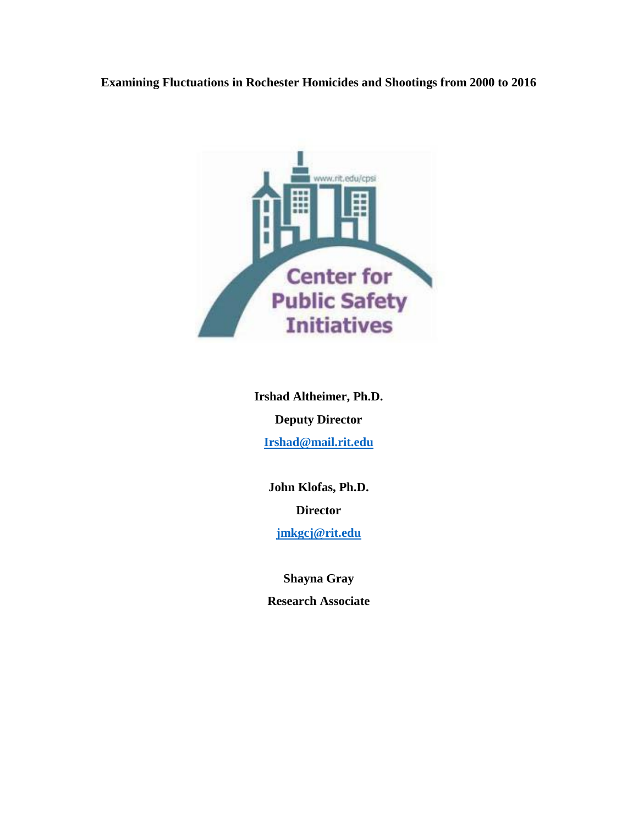# **Examining Fluctuations in Rochester Homicides and Shootings from 2000 to 2016**



**Irshad Altheimer, Ph.D. Deputy Director [Irshad@mail.rit.edu](mailto:Irshad@mail.rit.edu)**

> **John Klofas, Ph.D. Director**

**[jmkgcj@rit.edu](mailto:jmkgcj@rit.edu)**

**Shayna Gray Research Associate**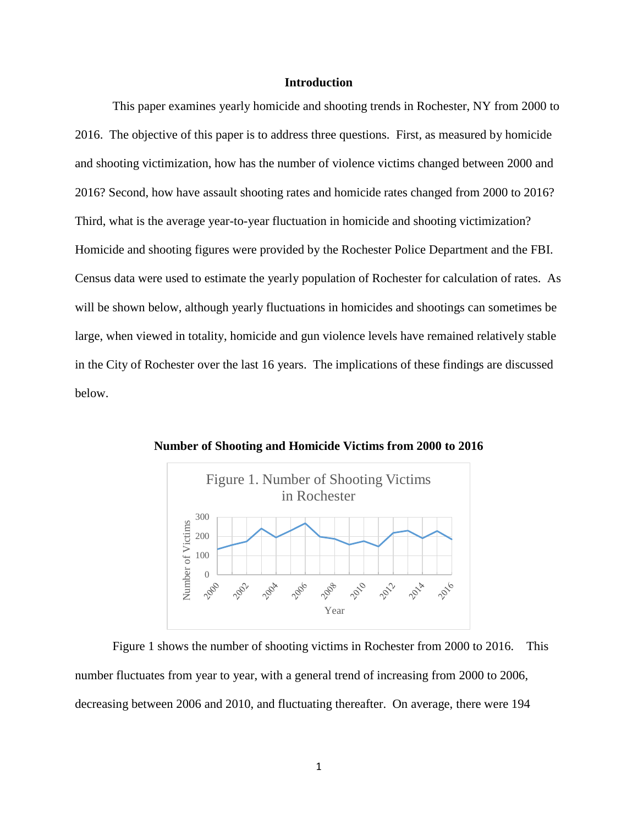## **Introduction**

This paper examines yearly homicide and shooting trends in Rochester, NY from 2000 to 2016. The objective of this paper is to address three questions. First, as measured by homicide and shooting victimization, how has the number of violence victims changed between 2000 and 2016? Second, how have assault shooting rates and homicide rates changed from 2000 to 2016? Third, what is the average year-to-year fluctuation in homicide and shooting victimization? Homicide and shooting figures were provided by the Rochester Police Department and the FBI. Census data were used to estimate the yearly population of Rochester for calculation of rates. As will be shown below, although yearly fluctuations in homicides and shootings can sometimes be large, when viewed in totality, homicide and gun violence levels have remained relatively stable in the City of Rochester over the last 16 years. The implications of these findings are discussed below.



**Number of Shooting and Homicide Victims from 2000 to 2016**

Figure 1 shows the number of shooting victims in Rochester from 2000 to 2016. This number fluctuates from year to year, with a general trend of increasing from 2000 to 2006, decreasing between 2006 and 2010, and fluctuating thereafter. On average, there were 194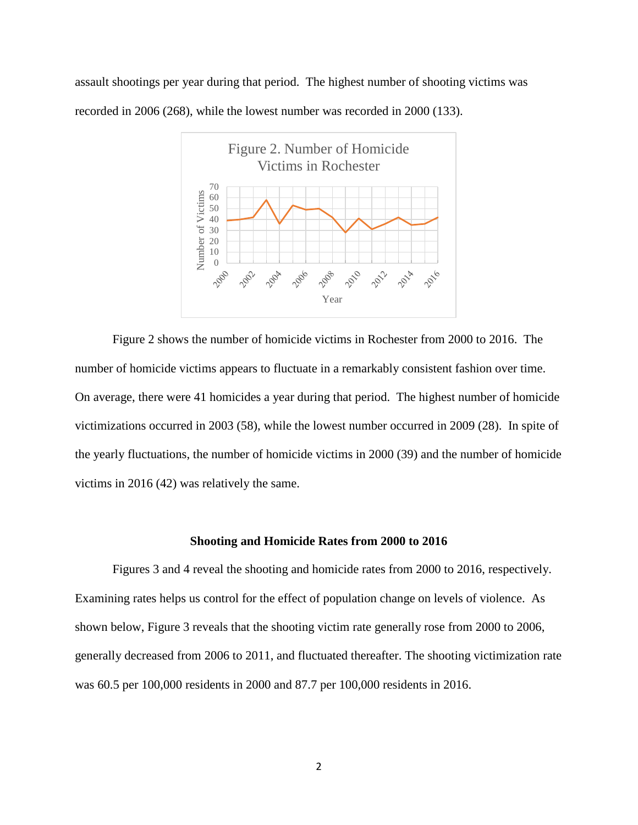assault shootings per year during that period. The highest number of shooting victims was recorded in 2006 (268), while the lowest number was recorded in 2000 (133).



Figure 2 shows the number of homicide victims in Rochester from 2000 to 2016. The number of homicide victims appears to fluctuate in a remarkably consistent fashion over time. On average, there were 41 homicides a year during that period. The highest number of homicide victimizations occurred in 2003 (58), while the lowest number occurred in 2009 (28). In spite of the yearly fluctuations, the number of homicide victims in 2000 (39) and the number of homicide victims in 2016 (42) was relatively the same.

#### **Shooting and Homicide Rates from 2000 to 2016**

Figures 3 and 4 reveal the shooting and homicide rates from 2000 to 2016, respectively. Examining rates helps us control for the effect of population change on levels of violence. As shown below, Figure 3 reveals that the shooting victim rate generally rose from 2000 to 2006, generally decreased from 2006 to 2011, and fluctuated thereafter. The shooting victimization rate was 60.5 per 100,000 residents in 2000 and 87.7 per 100,000 residents in 2016.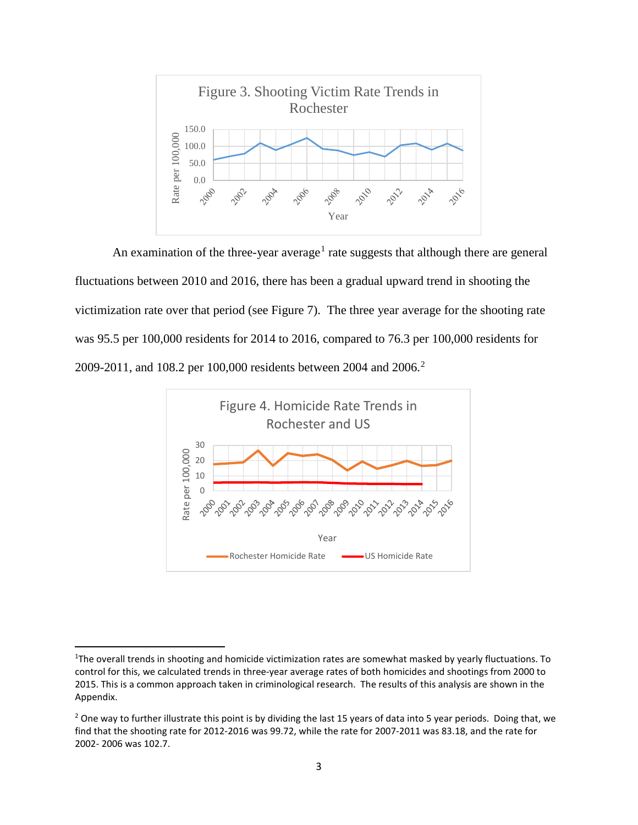

An examination of the three-year average<sup>[1](#page-3-0)</sup> rate suggests that although there are general fluctuations between 2010 and 2016, there has been a gradual upward trend in shooting the victimization rate over that period (see Figure 7). The three year average for the shooting rate was 95.5 per 100,000 residents for 2014 to 2016, compared to 76.3 per 100,000 residents for [2](#page-3-1)009-2011, and 108.2 per 100,000 residents between 2004 and 2006.<sup>2</sup>



<span id="page-3-0"></span> $\overline{1}$ <sup>1</sup>The overall trends in shooting and homicide victimization rates are somewhat masked by yearly fluctuations. To control for this, we calculated trends in three-year average rates of both homicides and shootings from 2000 to 2015. This is a common approach taken in criminological research. The results of this analysis are shown in the Appendix.

<span id="page-3-1"></span> $2$  One way to further illustrate this point is by dividing the last 15 years of data into 5 year periods. Doing that, we find that the shooting rate for 2012-2016 was 99.72, while the rate for 2007-2011 was 83.18, and the rate for 2002- 2006 was 102.7.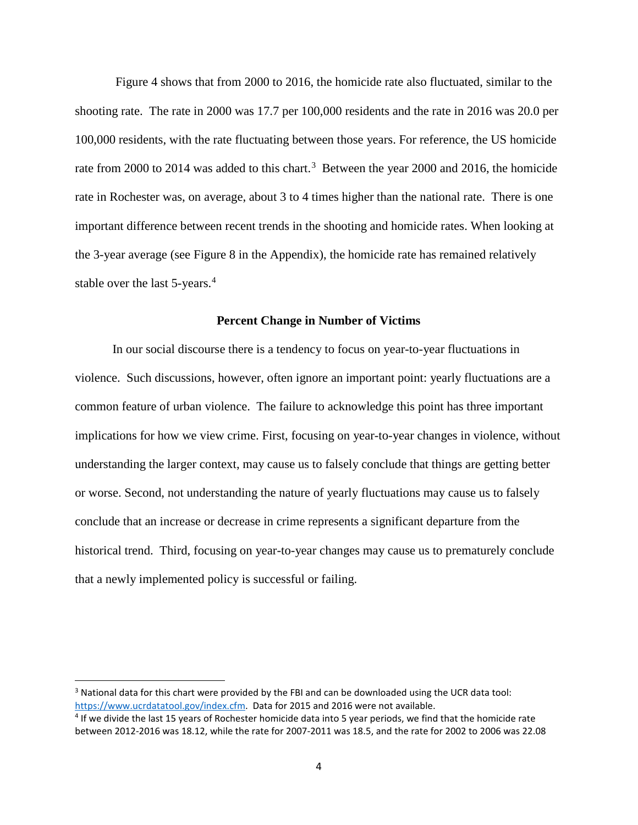Figure 4 shows that from 2000 to 2016, the homicide rate also fluctuated, similar to the shooting rate. The rate in 2000 was 17.7 per 100,000 residents and the rate in 2016 was 20.0 per 100,000 residents, with the rate fluctuating between those years. For reference, the US homicide rate from 2000 to 2014 was added to this chart.<sup>[3](#page-4-0)</sup> Between the year 2000 and 2016, the homicide rate in Rochester was, on average, about 3 to 4 times higher than the national rate. There is one important difference between recent trends in the shooting and homicide rates. When looking at the 3-year average (see Figure 8 in the Appendix), the homicide rate has remained relatively stable over the last 5-years.<sup>[4](#page-4-1)</sup>

#### **Percent Change in Number of Victims**

In our social discourse there is a tendency to focus on year-to-year fluctuations in violence. Such discussions, however, often ignore an important point: yearly fluctuations are a common feature of urban violence. The failure to acknowledge this point has three important implications for how we view crime. First, focusing on year-to-year changes in violence, without understanding the larger context, may cause us to falsely conclude that things are getting better or worse. Second, not understanding the nature of yearly fluctuations may cause us to falsely conclude that an increase or decrease in crime represents a significant departure from the historical trend. Third, focusing on year-to-year changes may cause us to prematurely conclude that a newly implemented policy is successful or failing.

<span id="page-4-0"></span> <sup>3</sup> National data for this chart were provided by the FBI and can be downloaded using the UCR data tool: https://www.ucrdatatool.gov/index.cfm. Data for 2015 and 2016 were not available.<br><sup>4</sup> If we divide the last 15 years of Rochester homicide data into 5 year periods, we find that the homicide rate

<span id="page-4-1"></span>between 2012-2016 was 18.12, while the rate for 2007-2011 was 18.5, and the rate for 2002 to 2006 was 22.08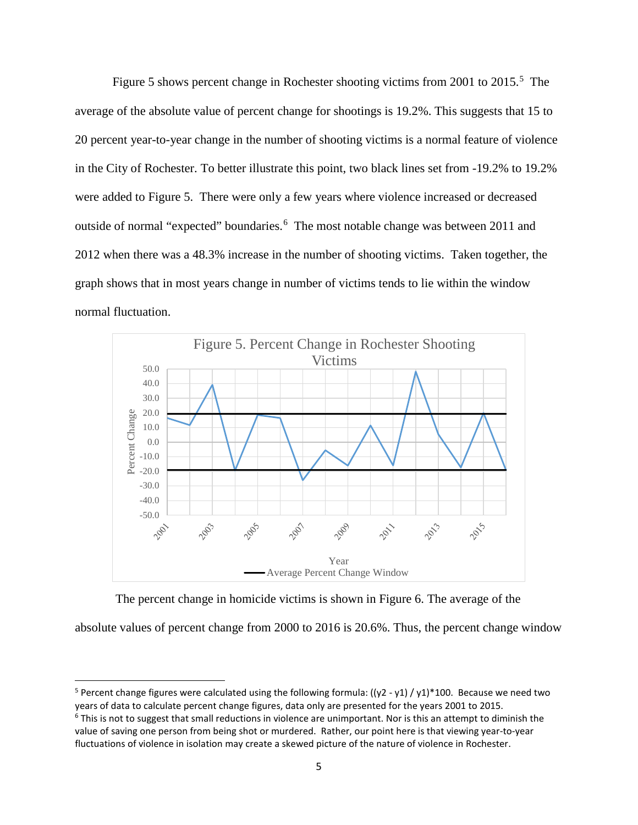Figure [5](#page-5-0) shows percent change in Rochester shooting victims from 2001 to 2015.<sup>5</sup> The average of the absolute value of percent change for shootings is 19.2%. This suggests that 15 to 20 percent year-to-year change in the number of shooting victims is a normal feature of violence in the City of Rochester. To better illustrate this point, two black lines set from -19.2% to 19.2% were added to Figure 5. There were only a few years where violence increased or decreased outside of normal "expected" boundaries.<sup>[6](#page-5-1)</sup> The most notable change was between 2011 and 2012 when there was a 48.3% increase in the number of shooting victims. Taken together, the graph shows that in most years change in number of victims tends to lie within the window normal fluctuation.



The percent change in homicide victims is shown in Figure 6. The average of the

absolute values of percent change from 2000 to 2016 is 20.6%. Thus, the percent change window

<span id="page-5-0"></span><sup>&</sup>lt;sup>5</sup> Percent change figures were calculated using the following formula:  $((y2 - y1) / y1)^*100$ . Because we need two years of data to calculate percent change figures, data only are presented for the years 2001 to 2015.

<span id="page-5-1"></span> $6$  This is not to suggest that small reductions in violence are unimportant. Nor is this an attempt to diminish the value of saving one person from being shot or murdered. Rather, our point here is that viewing year-to-year fluctuations of violence in isolation may create a skewed picture of the nature of violence in Rochester.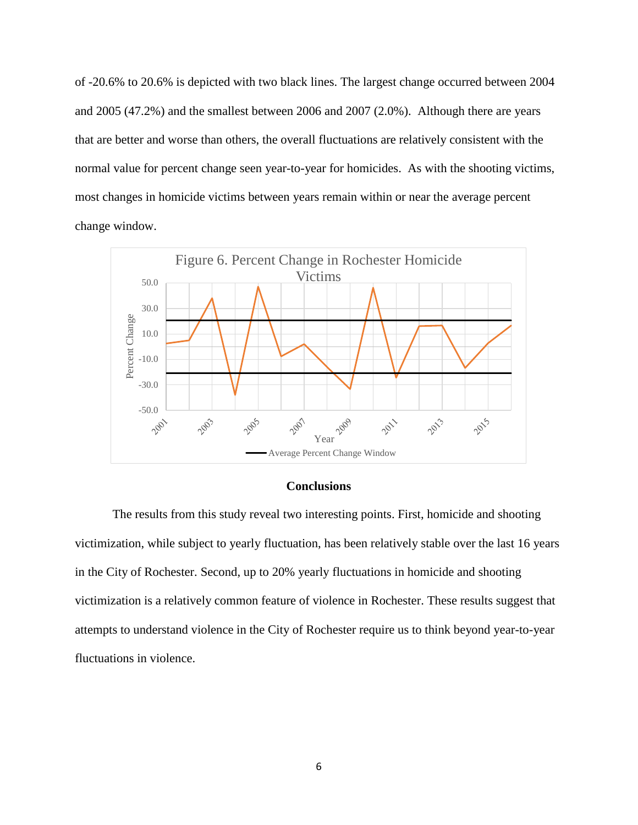of -20.6% to 20.6% is depicted with two black lines. The largest change occurred between 2004 and 2005 (47.2%) and the smallest between 2006 and 2007 (2.0%). Although there are years that are better and worse than others, the overall fluctuations are relatively consistent with the normal value for percent change seen year-to-year for homicides. As with the shooting victims, most changes in homicide victims between years remain within or near the average percent change window.



## **Conclusions**

The results from this study reveal two interesting points. First, homicide and shooting victimization, while subject to yearly fluctuation, has been relatively stable over the last 16 years in the City of Rochester. Second, up to 20% yearly fluctuations in homicide and shooting victimization is a relatively common feature of violence in Rochester. These results suggest that attempts to understand violence in the City of Rochester require us to think beyond year-to-year fluctuations in violence.